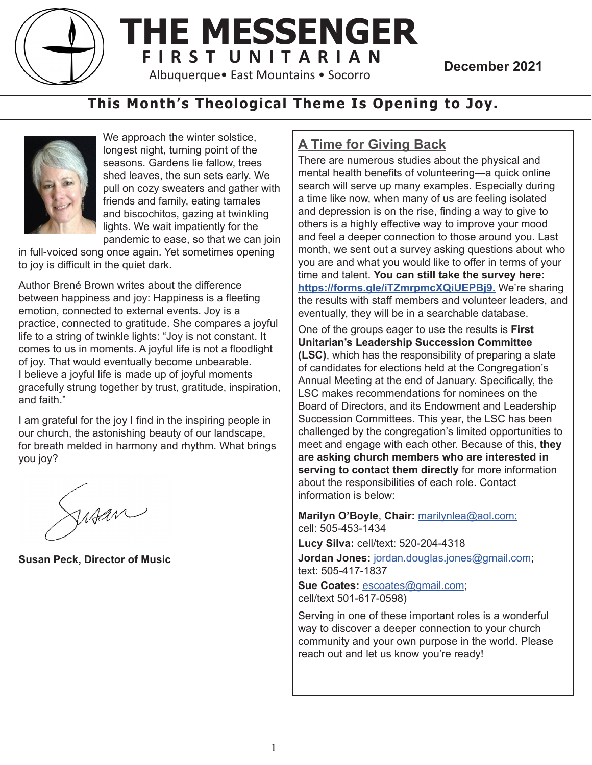

## **THE MESSENGER F I R S T U N I T A R I A N**<br>Albuquerque• East Mountains • Socorro<br>**December 2021**

## **This Month's Theological Theme Is Opening to Joy.**



We approach the winter solstice, longest night, turning point of the seasons. Gardens lie fallow, trees shed leaves, the sun sets early. We pull on cozy sweaters and gather with friends and family, eating tamales and biscochitos, gazing at twinkling lights. We wait impatiently for the pandemic to ease, so that we can join

in full-voiced song once again. Yet sometimes opening to joy is difficult in the quiet dark.

Author Brené Brown writes about the difference between happiness and joy: Happiness is a fleeting emotion, connected to external events. Joy is a practice, connected to gratitude. She compares a joyful life to a string of twinkle lights: "Joy is not constant. It comes to us in moments. A joyful life is not a floodlight of joy. That would eventually become unbearable. I believe a joyful life is made up of joyful moments gracefully strung together by trust, gratitude, inspiration, and faith."

I am grateful for the joy I find in the inspiring people in our church, the astonishing beauty of our landscape, for breath melded in harmony and rhythm. What brings you joy?

Sisan

**Susan Peck, Director of Music**

## **A Time for Giving Back**

There are numerous studies about the physical and mental health benefits of volunteering—a quick online search will serve up many examples. Especially during a time like now, when many of us are feeling isolated and depression is on the rise, finding a way to give to others is a highly effective way to improve your mood and feel a deeper connection to those around you. Last month, we sent out a survey asking questions about who you are and what you would like to offer in terms of your time and talent. **You can still take the survey here: https://forms.gle/iTZmrpmcXQiUEPBj9.** We're sharing the results with staff members and volunteer leaders, and eventually, they will be in a searchable database.

One of the groups eager to use the results is **First Unitarian's Leadership Succession Committee (LSC)**, which has the responsibility of preparing a slate of candidates for elections held at the Congregation's Annual Meeting at the end of January. Specifically, the LSC makes recommendations for nominees on the Board of Directors, and its Endowment and Leadership Succession Committees. This year, the LSC has been challenged by the congregation's limited opportunities to meet and engage with each other. Because of this, **they are asking church members who are interested in serving to contact them directly** for more information about the responsibilities of each role. Contact information is below:

**Marilyn O'Boyle**, **Chair:** marilynlea@aol.com; cell: 505-453-1434

**Lucy Silva:** cell/text: 520-204-4318

**Jordan Jones:** jordan.douglas.jones@gmail.com; text: 505-417-1837

**Sue Coates:** escoates@gmail.com; cell/text 501-617-0598)

Serving in one of these important roles is a wonderful way to discover a deeper connection to your church community and your own purpose in the world. Please reach out and let us know you're ready!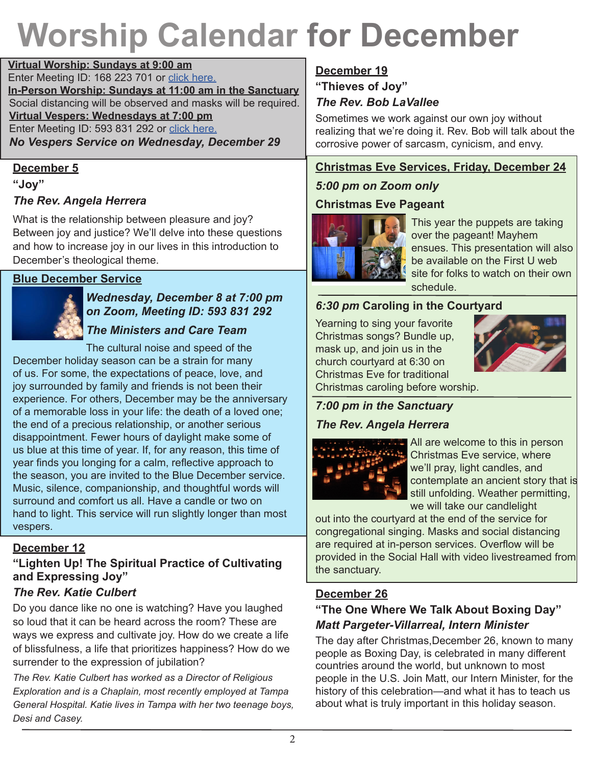# **Worship Calendar for December**

**Virtual Worship: Sundays at 9:00 am** Enter Meeting ID: 168 223 701 or click here. **In-Person Worship: Sundays at 11:00 am in the Sanctuary** Social distancing will be observed and masks will be required. **Virtual Vespers: Wednesdays at 7:00 pm** Enter Meeting ID: 593 831 292 or click here. *No Vespers Service on Wednesday, December 29*

#### **December 5**

**"Joy"**

#### *The Rev. Angela Herrera*

What is the relationship between pleasure and joy? Between joy and justice? We'll delve into these questions and how to increase joy in our lives in this introduction to December's theological theme.

#### **Blue December Service**



*Wednesday, December 8 at 7:00 pm on Zoom, Meeting ID: 593 831 292*

## *The Ministers and Care Team*

The cultural noise and speed of the December holiday season can be a strain for many of us. For some, the expectations of peace, love, and joy surrounded by family and friends is not been their experience. For others, December may be the anniversary of a memorable loss in your life: the death of a loved one; the end of a precious relationship, or another serious disappointment. Fewer hours of daylight make some of us blue at this time of year. If, for any reason, this time of year finds you longing for a calm, reflective approach to the season, you are invited to the Blue December service. Music, silence, companionship, and thoughtful words will surround and comfort us all. Have a candle or two on hand to light. This service will run slightly longer than most vespers.

#### **December 12**

## **"Lighten Up! The Spiritual Practice of Cultivating and Expressing Joy"**

### *The Rev. Katie Culbert*

Do you dance like no one is watching? Have you laughed so loud that it can be heard across the room? These are ways we express and cultivate joy. How do we create a life of blissfulness, a life that prioritizes happiness? How do we surrender to the expression of jubilation?

*The Rev. Katie Culbert has worked as a Director of Religious Exploration and is a Chaplain, most recently employed at Tampa General Hospital. Katie lives in Tampa with her two teenage boys, Desi and Casey.* 

## **December 19**

**"Thieves of Joy"**

#### *The Rev. Bob LaVallee*

Sometimes we work against our own joy without realizing that we're doing it. Rev. Bob will talk about the corrosive power of sarcasm, cynicism, and envy.

#### **Christmas Eve Services, Friday, December 24**

### *5:00 pm on Zoom only*

### **Christmas Eve Pageant**



This year the puppets are taking over the pageant! Mayhem ensues. This presentation will also be available on the First U web site for folks to watch on their own schedule.

#### *6:30 pm* **Caroling in the Courtyard**

Yearning to sing your favorite Christmas songs? Bundle up, mask up, and join us in the church courtyard at 6:30 on Christmas Eve for traditional



Christmas caroling before worship.

## *7:00 pm in the Sanctuary*

## *The Rev. Angela Herrera*



All are welcome to this in person Christmas Eve service, where we'll pray, light candles, and contemplate an ancient story that is still unfolding. Weather permitting, we will take our candlelight

out into the courtyard at the end of the service for congregational singing. Masks and social distancing are required at in-person services. Overflow will be provided in the Social Hall with video livestreamed from the sanctuary.

### **December 26**

## **"The One Where We Talk About Boxing Day"** *Matt Pargeter-Villarreal, Intern Minister*

The day after Christmas,December 26, known to many people as Boxing Day, is celebrated in many different countries around the world, but unknown to most people in the U.S. Join Matt, our Intern Minister, for the history of this celebration—and what it has to teach us about what is truly important in this holiday season.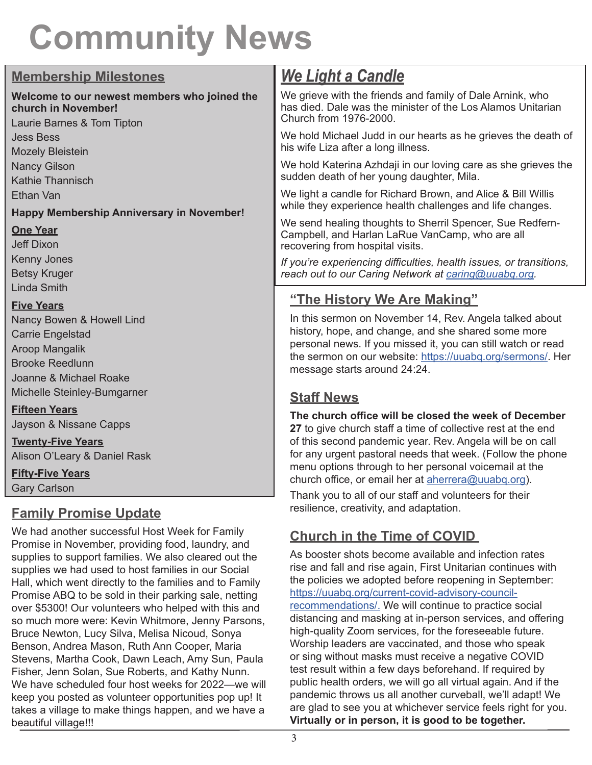# **Community News**

| <b>Membership Milestones</b>                                                                                                                                          | <u>We Light a Candle</u>                                                                                                                                                                                                                                                     |  |  |
|-----------------------------------------------------------------------------------------------------------------------------------------------------------------------|------------------------------------------------------------------------------------------------------------------------------------------------------------------------------------------------------------------------------------------------------------------------------|--|--|
| Welcome to our newest members who joined the                                                                                                                          | We grieve with the friends and family of Dale Arnink, who                                                                                                                                                                                                                    |  |  |
| church in November!                                                                                                                                                   | has died. Dale was the minister of the Los Alamos Unitarian                                                                                                                                                                                                                  |  |  |
| Laurie Barnes & Tom Tipton                                                                                                                                            | Church from 1976-2000.                                                                                                                                                                                                                                                       |  |  |
| <b>Jess Bess</b>                                                                                                                                                      | We hold Michael Judd in our hearts as he grieves the death of                                                                                                                                                                                                                |  |  |
| <b>Mozely Bleistein</b>                                                                                                                                               | his wife Liza after a long illness.                                                                                                                                                                                                                                          |  |  |
| <b>Nancy Gilson</b>                                                                                                                                                   | We hold Katerina Azhdaji in our loving care as she grieves the                                                                                                                                                                                                               |  |  |
| <b>Kathie Thannisch</b>                                                                                                                                               | sudden death of her young daughter, Mila.                                                                                                                                                                                                                                    |  |  |
| Ethan Van                                                                                                                                                             | We light a candle for Richard Brown, and Alice & Bill Willis                                                                                                                                                                                                                 |  |  |
| <b>Happy Membership Anniversary in November!</b>                                                                                                                      | while they experience health challenges and life changes.                                                                                                                                                                                                                    |  |  |
| <b>One Year</b><br><b>Jeff Dixon</b>                                                                                                                                  | We send healing thoughts to Sherril Spencer, Sue Redfern-<br>Campbell, and Harlan LaRue VanCamp, who are all<br>recovering from hospital visits.                                                                                                                             |  |  |
| Kenny Jones                                                                                                                                                           | If you're experiencing difficulties, health issues, or transitions,                                                                                                                                                                                                          |  |  |
| <b>Betsy Kruger</b>                                                                                                                                                   | reach out to our Caring Network at caring@uuabq.org.                                                                                                                                                                                                                         |  |  |
| <b>Linda Smith</b><br><b>Five Years</b><br>Nancy Bowen & Howell Lind<br><b>Carrie Engelstad</b><br>Aroop Mangalik<br><b>Brooke Reedlunn</b><br>Joanne & Michael Roake | "The History We Are Making"                                                                                                                                                                                                                                                  |  |  |
|                                                                                                                                                                       | In this sermon on November 14, Rev. Angela talked about<br>history, hope, and change, and she shared some more<br>personal news. If you missed it, you can still watch or read<br>the sermon on our website: https://uuabq.org/sermons/. Her<br>message starts around 24:24. |  |  |
| Michelle Steinley-Bumgarner                                                                                                                                           | <b>Staff News</b>                                                                                                                                                                                                                                                            |  |  |
| <b>Fifteen Years</b>                                                                                                                                                  | The church office will be closed the week of December                                                                                                                                                                                                                        |  |  |
| Jayson & Nissane Capps                                                                                                                                                | 27 to give church staff a time of collective rest at the end                                                                                                                                                                                                                 |  |  |
| <b>Twenty-Five Years</b><br>Alison O'Leary & Daniel Rask<br><b>Fifty-Five Years</b>                                                                                   | of this second pandemic year. Rev. Angela will be on call<br>for any urgent pastoral needs that week. (Follow the phone<br>menu options through to her personal voicemail at the<br>church office, or email her at aherrera@uuabq.org).                                      |  |  |
| <b>Gary Carlson</b>                                                                                                                                                   | Thank you to all of our staff and volunteers for their                                                                                                                                                                                                                       |  |  |
| <u> Family Dromico I Indato</u>                                                                                                                                       | resilience, creativity, and adaptation.                                                                                                                                                                                                                                      |  |  |

## **Family Promise Update**

We had another successful Host Week for Family Promise in November, providing food, laundry, and supplies to support families. We also cleared out the supplies we had used to host families in our Social Hall, which went directly to the families and to Family Promise ABQ to be sold in their parking sale, netting over \$5300! Our volunteers who helped with this and so much more were: Kevin Whitmore, Jenny Parsons, Bruce Newton, Lucy Silva, Melisa Nicoud, Sonya Benson, Andrea Mason, Ruth Ann Cooper, Maria Stevens, Martha Cook, Dawn Leach, Amy Sun, Paula Fisher, Jenn Solan, Sue Roberts, and Kathy Nunn. We have scheduled four host weeks for 2022—we will keep you posted as volunteer opportunities pop up! It takes a village to make things happen, and we have a beautiful village!!!

## **Church in the Time of COVID**

As booster shots become available and infection rates rise and fall and rise again, First Unitarian continues with the policies we adopted before reopening in September: https://uuabq.org/current-covid-advisory-councilrecommendations/. We will continue to practice social distancing and masking at in-person services, and offering high-quality Zoom services, for the foreseeable future. Worship leaders are vaccinated, and those who speak or sing without masks must receive a negative COVID test result within a few days beforehand. If required by public health orders, we will go all virtual again. And if the pandemic throws us all another curveball, we'll adapt! We are glad to see you at whichever service feels right for you. **Virtually or in person, it is good to be together.**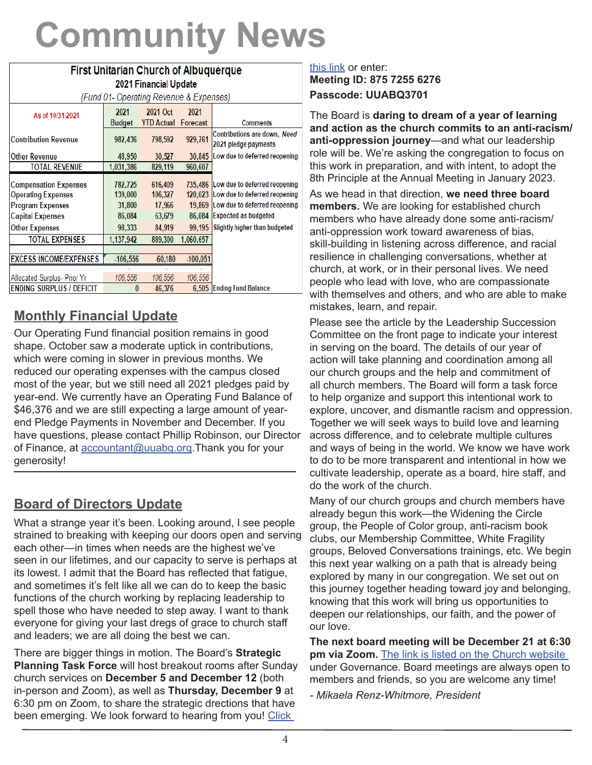# **Community News**

| <b>First Unitarian Church of Albuquerque</b>                                                                    |                                        |                                        |                             |                                                                                                                                        |  |
|-----------------------------------------------------------------------------------------------------------------|----------------------------------------|----------------------------------------|-----------------------------|----------------------------------------------------------------------------------------------------------------------------------------|--|
| <b>2021 Financial Update</b><br>(Fund 01- Operating Revenue & Expenses)                                         |                                        |                                        |                             |                                                                                                                                        |  |
| As of 10/31/2021                                                                                                | 2021<br>Budget                         | 2021 Oct<br><b>YTD Actual</b>          | 2021<br>Forecast            | <b>Comments</b>                                                                                                                        |  |
| Contribution Revenue                                                                                            | 982,436                                | 798,592                                | 929,761                     | Contributions are down, Need<br>2021 pledge payments                                                                                   |  |
| Other Revenue                                                                                                   | 48,950                                 | 30,527                                 | 30,845                      | Low due to deferred reopening                                                                                                          |  |
| <b>TOTAL REVENUE</b>                                                                                            | 1,031,386                              | 829,119                                | 960,607                     |                                                                                                                                        |  |
| <b>Compensation Expenses</b><br><b>Operating Expenses</b><br><b>Program Expenses</b><br><b>Capital Expenses</b> | 782,725<br>139,000<br>31,800<br>86,084 | 616,409<br>106,327<br>17,966<br>63,679 | 120,023<br>19,869<br>86,084 | 735,486 Low due to deferred reopening<br>Low due to deferred reopening<br>Low due to deferred reopening<br><b>Expected as budgeted</b> |  |
| <b>Other Expenses</b>                                                                                           | 98,333                                 | 84,919                                 | 99.195                      | Slightly higher than budgeted                                                                                                          |  |
| <b>TOTAL EXPENSES</b>                                                                                           | 1,137,942                              | 889,300                                | 1,060,657                   |                                                                                                                                        |  |
|                                                                                                                 |                                        |                                        |                             |                                                                                                                                        |  |
| <b>EXCESS INCOME/EXPENSES</b>                                                                                   | $-106,556$                             | $-60,180$                              | $-100,051$                  |                                                                                                                                        |  |
| Allocated Surplus- Prior Yr                                                                                     | 106.556                                | 106.556                                | 106.556                     |                                                                                                                                        |  |
| <b>ENDING SURPLUS / DEFICIT</b>                                                                                 | 0                                      | 46,376                                 | 6.505                       | <b>Ending Fund Balance</b>                                                                                                             |  |

## **Monthly Financial Update**

Our Operating Fund financial position remains in good shape. October saw a moderate uptick in contributions, which were coming in slower in previous months. We reduced our operating expenses with the campus closed most of the year, but we still need all 2021 pledges paid by year-end. We currently have an Operating Fund Balance of \$46,376 and we are still expecting a large amount of yearend Pledge Payments in November and December. If you have questions, please contact Phillip Robinson, our Director of Finance, at accountant@uuabq.org.Thank you for your generosity!

## **Board of Directors Update**

What a strange year it's been. Looking around, I see people strained to breaking with keeping our doors open and serving each other—in times when needs are the highest we've seen in our lifetimes, and our capacity to serve is perhaps at its lowest. I admit that the Board has reflected that fatigue, and sometimes it's felt like all we can do to keep the basic functions of the church working by replacing leadership to spell those who have needed to step away. I want to thank everyone for giving your last dregs of grace to church staff and leaders; we are all doing the best we can.

There are bigger things in motion. The Board's **Strategic Planning Task Force** will host breakout rooms after Sunday church services on **December 5 and December 12** (both in-person and Zoom), as well as **Thursday, December 9** at 6:30 pm on Zoom, to share the strategic drections that have been emerging. We look forward to hearing from you! Click

#### this link or enter: **Meeting ID: 875 7255 6276 Passcode: UUABQ3701**

The Board is **daring to dream of a year of learning and action as the church commits to an anti-racism/ anti-oppression journey**—and what our leadership role will be. We're asking the congregation to focus on this work in preparation, and with intent, to adopt the 8th Principle at the Annual Meeting in January 2023.

As we head in that direction, **we need three board members.** We are looking for established church members who have already done some anti-racism/ anti-oppression work toward awareness of bias, skill-building in listening across difference, and racial resilience in challenging conversations, whether at church, at work, or in their personal lives. We need people who lead with love, who are compassionate with themselves and others, and who are able to make mistakes, learn, and repair.

Please see the article by the Leadership Succession Committee on the front page to indicate your interest in serving on the board. The details of our year of action will take planning and coordination among all our church groups and the help and commitment of all church members. The Board will form a task force to help organize and support this intentional work to explore, uncover, and dismantle racism and oppression. Together we will seek ways to build love and learning across difference, and to celebrate multiple cultures and ways of being in the world. We know we have work to do to be more transparent and intentional in how we cultivate leadership, operate as a board, hire staff, and do the work of the church.

Many of our church groups and church members have already begun this work—the Widening the Circle group, the People of Color group, anti-racism book clubs, our Membership Committee, White Fragility groups, Beloved Conversations trainings, etc. We begin this next year walking on a path that is already being explored by many in our congregation. We set out on this journey together heading toward joy and belonging, knowing that this work will bring us opportunities to deepen our relationships, our faith, and the power of our love.

**The next board meeting will be December 21 at 6:30 pm via Zoom.** The link is listed on the Church website under Governance. Board meetings are always open to members and friends, so you are welcome any time!

*- Mikaela Renz-Whitmore, President*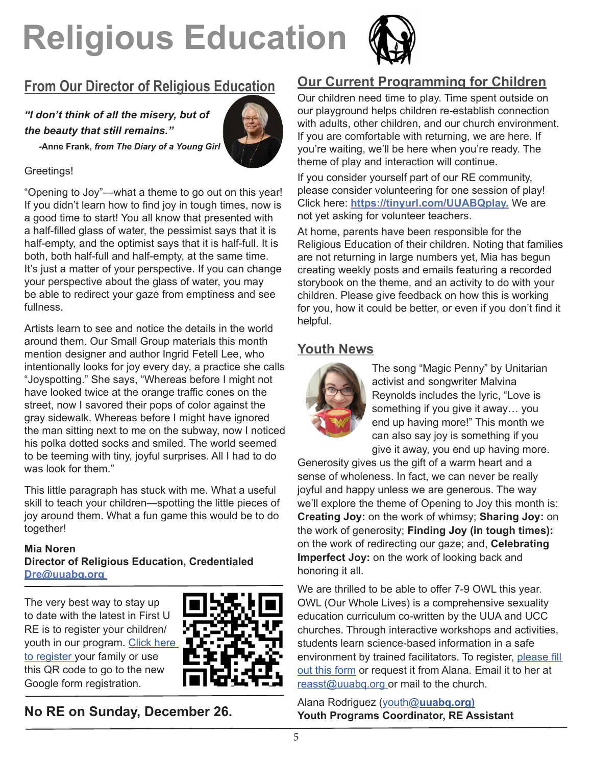# **Religious Education**



## **From Our Director of Religious Education**

*"I don't think of all the misery, but of the beauty that still remains."* 



 *-***Anne Frank,** *from The Diary of a Young Girl*

#### Greetings!

"Opening to Joy"—what a theme to go out on this year! If you didn't learn how to find joy in tough times, now is a good time to start! You all know that presented with a half-filled glass of water, the pessimist says that it is half-empty, and the optimist says that it is half-full. It is both, both half-full and half-empty, at the same time. It's just a matter of your perspective. If you can change your perspective about the glass of water, you may be able to redirect your gaze from emptiness and see fullness.

Artists learn to see and notice the details in the world around them. Our Small Group materials this month mention designer and author Ingrid Fetell Lee, who intentionally looks for joy every day, a practice she calls "Joyspotting." She says, "Whereas before I might not have looked twice at the orange traffic cones on the street, now I savored their pops of color against the gray sidewalk. Whereas before I might have ignored the man sitting next to me on the subway, now I noticed his polka dotted socks and smiled. The world seemed to be teeming with tiny, joyful surprises. All I had to do was look for them."

This little paragraph has stuck with me. What a useful skill to teach your children—spotting the little pieces of joy around them. What a fun game this would be to do together!

#### **Mia Noren Director of Religious Education, Credentialed Dre@uuabq.org**

The very best way to stay up to date with the latest in First U RE is to register your children/ youth in our program. Click here to register your family or use this QR code to go to the new Google form registration.



**No RE on Sunday, December 26.**

## **Our Current Programming for Children**

Our children need time to play. Time spent outside on our playground helps children re-establish connection with adults, other children, and our church environment. If you are comfortable with returning, we are here. If you're waiting, we'll be here when you're ready. The theme of play and interaction will continue.

If you consider yourself part of our RE community, please consider volunteering for one session of play! Click here: **https://tinyurl.com/UUABQplay.** We are not yet asking for volunteer teachers.

At home, parents have been responsible for the Religious Education of their children. Noting that families are not returning in large numbers yet, Mia has begun creating weekly posts and emails featuring a recorded storybook on the theme, and an activity to do with your children. Please give feedback on how this is working for you, how it could be better, or even if you don't find it helpful.

## **Youth News**



The song "Magic Penny" by Unitarian activist and songwriter Malvina Reynolds includes the lyric, "Love is something if you give it away… you end up having more!" This month we can also say joy is something if you give it away, you end up having more.

Generosity gives us the gift of a warm heart and a sense of wholeness. In fact, we can never be really joyful and happy unless we are generous. The way we'll explore the theme of Opening to Joy this month is: **Creating Joy:** on the work of whimsy; **Sharing Joy:** on the work of generosity; **Finding Joy (in tough times):** on the work of redirecting our gaze; and, **Celebrating Imperfect Joy:** on the work of looking back and honoring it all.

We are thrilled to be able to offer 7-9 OWL this year. OWL (Our Whole Lives) is a comprehensive sexuality education curriculum co-written by the UUA and UCC churches. Through interactive workshops and activities, students learn science-based information in a safe environment by trained facilitators. To register, please fill out this form or request it from Alana. Email it to her at reasst@uuabq.org or mail to the church.

Alana Rodriguez (youth@**uuabq.org) Youth Programs Coordinator, RE Assistant**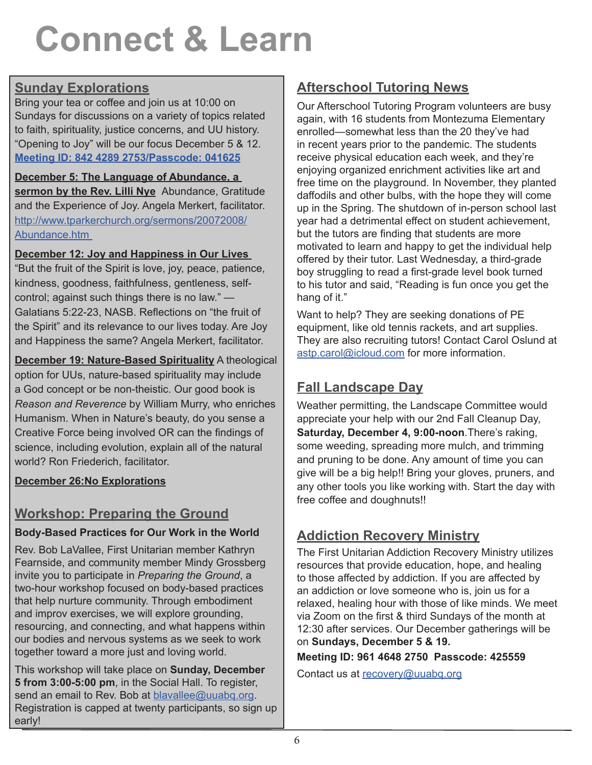# **Connect & Learn**

## **Sunday Explorations**

Bring your tea or coffee and join us at 10:00 on Sundays for discussions on a variety of topics related to faith, spirituality, justice concerns, and UU history. "Opening to Joy" will be our focus December 5 & 12. **Meeting ID: 842 4289 2753/Passcode: 041625**

**December 5: The Language of Abundance, a sermon by the Rev. Lilli Nye** Abundance, Gratitude and the Experience of Joy. Angela Merkert, facilitator. http://www.tparkerchurch.org/sermons/20072008/ Abundance.htm

#### **December 12: Joy and Happiness in Our Lives**

"But the fruit of the Spirit is love, joy, peace, patience, kindness, goodness, faithfulness, gentleness, selfcontrol; against such things there is no law." — Galatians 5:22-23, NASB. Reflections on "the fruit of the Spirit" and its relevance to our lives today. Are Joy and Happiness the same? Angela Merkert, facilitator.

**December 19: Nature-Based Spirituality** A theological option for UUs, nature-based spirituality may include a God concept or be non-theistic. Our good book is *Reason and Reverence* by William Murry, who enriches Humanism. When in Nature's beauty, do you sense a Creative Force being involved OR can the findings of science, including evolution, explain all of the natural world? Ron Friederich, facilitator.

#### **December 26:No Explorations**

## **Workshop: Preparing the Ground**

## **Body-Based Practices for Our Work in the World**

Rev. Bob LaVallee, First Unitarian member Kathryn Fearnside, and community member Mindy Grossberg invite you to participate in *Preparing the Ground*, a two-hour workshop focused on body-based practices that help nurture community. Through embodiment and improv exercises, we will explore grounding, resourcing, and connecting, and what happens within our bodies and nervous systems as we seek to work together toward a more just and loving world.

This workshop will take place on **Sunday, December 5 from 3:00-5:00 pm**, in the Social Hall. To register, send an email to Rev. Bob at blavallee@uuabq.org. Registration is capped at twenty participants, so sign up early!

## **Afterschool Tutoring News**

Our Afterschool Tutoring Program volunteers are busy again, with 16 students from Montezuma Elementary enrolled—somewhat less than the 20 they've had in recent years prior to the pandemic. The students receive physical education each week, and they're enjoying organized enrichment activities like art and free time on the playground. In November, they planted daffodils and other bulbs, with the hope they will come up in the Spring. The shutdown of in-person school last year had a detrimental effect on student achievement, but the tutors are finding that students are more motivated to learn and happy to get the individual help offered by their tutor. Last Wednesday, a third-grade boy struggling to read a first-grade level book turned to his tutor and said, "Reading is fun once you get the hang of it."

Want to help? They are seeking donations of PE equipment, like old tennis rackets, and art supplies. They are also recruiting tutors! Contact Carol Oslund at astp.carol@icloud.com for more information.

## **Fall Landscape Day**

Weather permitting, the Landscape Committee would appreciate your help with our 2nd Fall Cleanup Day, **Saturday, December 4, 9:00-noon**.There's raking, some weeding, spreading more mulch, and trimming and pruning to be done. Any amount of time you can give will be a big help!! Bring your gloves, pruners, and any other tools you like working with. Start the day with free coffee and doughnuts!!

## **Addiction Recovery Ministry**

The First Unitarian Addiction Recovery Ministry utilizes resources that provide education, hope, and healing to those affected by addiction. If you are affected by an addiction or love someone who is, join us for a relaxed, healing hour with those of like minds. We meet via Zoom on the first & third Sundays of the month at 12:30 after services. Our December gatherings will be on **Sundays, December 5 & 19.** 

**Meeting ID: 961 4648 2750 Passcode: 425559**

Contact us at recovery@uuabq.org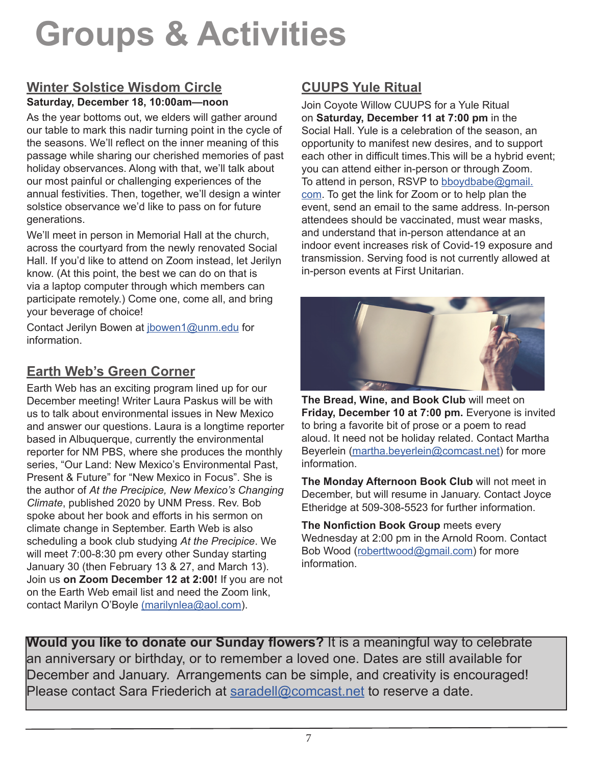# **Groups & Activities**

#### **Winter Solstice Wisdom Circle Saturday, December 18, 10:00am—noon**

As the year bottoms out, we elders will gather around our table to mark this nadir turning point in the cycle of the seasons. We'll reflect on the inner meaning of this passage while sharing our cherished memories of past holiday observances. Along with that, we'll talk about our most painful or challenging experiences of the annual festivities. Then, together, we'll design a winter solstice observance we'd like to pass on for future generations.

We'll meet in person in Memorial Hall at the church, across the courtyard from the newly renovated Social Hall. If you'd like to attend on Zoom instead, let Jerilyn know. (At this point, the best we can do on that is via a laptop computer through which members can participate remotely.) Come one, come all, and bring your beverage of choice!

Contact Jerilyn Bowen at jbowen1@unm.edu for information.

## **Earth Web's Green Corner**

Earth Web has an exciting program lined up for our December meeting! Writer Laura Paskus will be with us to talk about environmental issues in New Mexico and answer our questions. Laura is a longtime reporter based in Albuquerque, currently the environmental reporter for NM PBS, where she produces the monthly series, "Our Land: New Mexico's Environmental Past, Present & Future" for "New Mexico in Focus". She is the author of *At the Precipice, New Mexico's Changing Climate*, published 2020 by UNM Press. Rev. Bob spoke about her book and efforts in his sermon on climate change in September. Earth Web is also scheduling a book club studying *At the Precipice*. We will meet 7:00-8:30 pm every other Sunday starting January 30 (then February 13 & 27, and March 13). Join us **on Zoom December 12 at 2:00!** If you are not on the Earth Web email list and need the Zoom link, contact Marilyn O'Boyle (marilynlea@aol.com).

## **CUUPS Yule Ritual**

Join Coyote Willow CUUPS for a Yule Ritual on **Saturday, December 11 at 7:00 pm** in the Social Hall. Yule is a celebration of the season, an opportunity to manifest new desires, and to support each other in difficult times.This will be a hybrid event; you can attend either in-person or through Zoom. To attend in person, RSVP to bboydbabe@gmail. com. To get the link for Zoom or to help plan the event, send an email to the same address. In-person attendees should be vaccinated, must wear masks, and understand that in-person attendance at an indoor event increases risk of Covid-19 exposure and transmission. Serving food is not currently allowed at in-person events at First Unitarian.



**The Bread, Wine, and Book Club** will meet on **Friday, December 10 at 7:00 pm.** Everyone is invited to bring a favorite bit of prose or a poem to read aloud. It need not be holiday related. Contact Martha Beyerlein (martha.beyerlein@comcast.net) for more information.

**The Monday Afternoon Book Club** will not meet in December, but will resume in January. Contact Joyce Etheridge at 509-308-5523 for further information.

**The Nonfiction Book Group** meets every Wednesday at 2:00 pm in the Arnold Room. Contact Bob Wood (roberttwood@gmail.com) for more information.

**Would you like to donate our Sunday flowers?** It is a meaningful way to celebrate an anniversary or birthday, or to remember a loved one. Dates are still available for December and January. Arrangements can be simple, and creativity is encouraged! Please contact Sara Friederich at saradell@comcast.net to reserve a date.